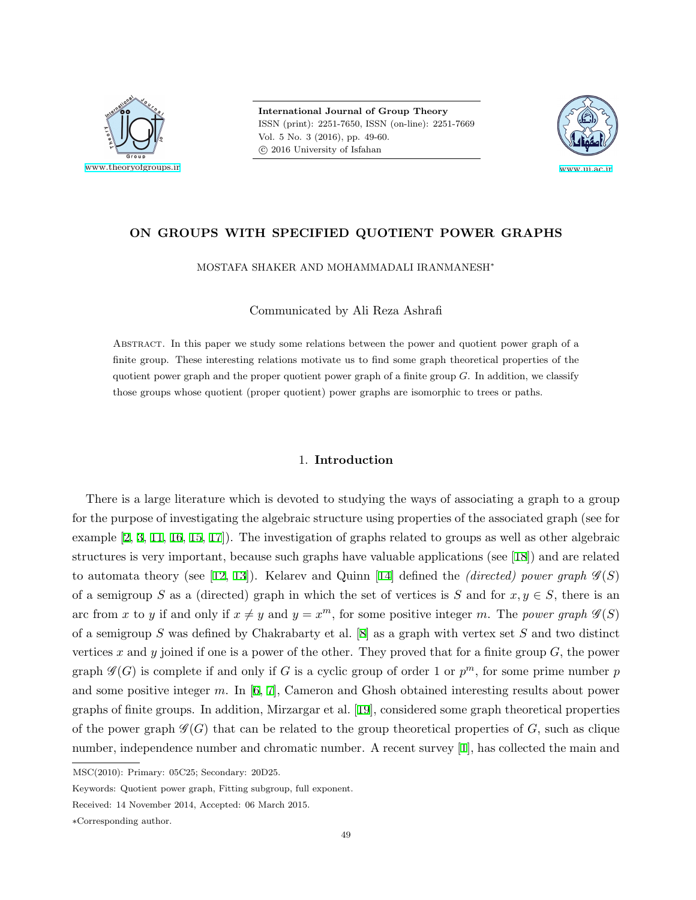

**International Journal of Group Theory** ISSN (print): 2251-7650, ISSN (on-line): 2251-7669 Vol. 5 No. 3 (2016), pp. 49-60.  $© 2016 University of Isfahan$ 



# **ON GROUPS WITH SPECIFIED QUOTIENT POWER GRAPHS**

MOSTAFA SHAKER AND MOHAMMADALI IRANMANESH*<sup>∗</sup>*

Communicated by Ali Reza Ashrafi

Abstract. In this paper we study some relations between the power and quotient power graph of a finite group. These interesting relations motivate us to find some graph theoretical properties of the quotient power graph and the proper quotient power graph of a finite group *G*. In addition, we classify those groups whose quotient (proper quotient) power graphs are isomorphic to trees or paths.

## 1. **Introduction**

There is a large literature which is devoted to studying the ways of associating a graph to a group for the purpose of investigating the algebraic structure using properties of the associated graph (see for example[[2](#page-10-0), [3](#page-10-1), [11](#page-11-0), [16,](#page-11-1) [15,](#page-11-2) [17](#page-11-3)]). The investigation of graphs related to groups as well as other algebraic structures is very important, because such graphs have valuable applications (see[[18\]](#page-11-4)) and are related to automata theory (see [\[12](#page-11-5), [13\]](#page-11-6)).Kelarev and Quinn [[14](#page-11-7)] defined the *(directed) power graph*  $\mathcal{G}(S)$ of a semigroup *S* as a (directed) graph in which the set of vertices is *S* and for  $x, y \in S$ , there is an arc from *x* to *y* if and only if  $x \neq y$  and  $y = x^m$ , for some positive integer *m*. The *power graph*  $\mathcal{G}(S)$ of a semigroup *S* was defined by Chakrabarty et al.[[8](#page-11-8)] as a graph with vertex set *S* and two distinct vertices *x* and *y* joined if one is a power of the other. They proved that for a finite group *G*, the power graph  $\mathscr{G}(G)$  is complete if and only if *G* is a cyclic group of order 1 or  $p^m$ , for some prime number  $p$ and some positive integer *m*. In[[6](#page-11-9), [7\]](#page-11-10), Cameron and Ghosh obtained interesting results about power graphs of finite groups. In addition, Mirzargar et al.[[19](#page-11-11)], considered some graph theoretical properties of the power graph  $\mathscr{G}(G)$  that can be related to the group theoretical properties of *G*, such as clique number, independence number and chromatic number. A recent survey[[1\]](#page-10-2), has collected the main and

MSC(2010): Primary: 05C25; Secondary: 20D25.

Keywords: Quotient power graph, Fitting subgroup, full exponent.

Received: 14 November 2014, Accepted: 06 March 2015.

*<sup>∗</sup>*Corresponding author.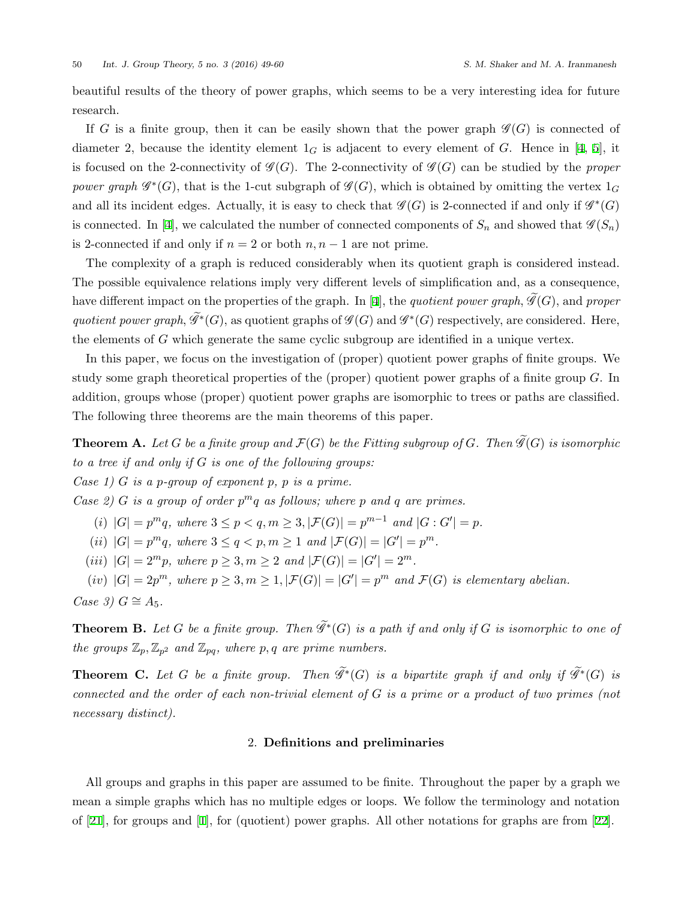beautiful results of the theory of power graphs, which seems to be a very interesting idea for future research.

If *G* is a finite group, then it can be easily shown that the power graph  $\mathscr{G}(G)$  is connected of diameter2, because the identity element  $1_G$  is adjacent to every element of *G*. Hence in [[4](#page-11-12), [5](#page-11-13)], it is focused on the 2-connectivity of  $\mathcal{G}(G)$ . The 2-connectivity of  $\mathcal{G}(G)$  can be studied by the *proper power graph*  $\mathscr{G}^*(G)$ , that is the 1-cut subgraph of  $\mathscr{G}(G)$ , which is obtained by omitting the vertex  $1_G$ and all its incident edges. Actually, it is easy to check that  $\mathscr{G}(G)$  is 2-connected if and only if  $\mathscr{G}^*(G)$ is connected. In [\[4\]](#page-11-12), we calculated the number of connected components of  $S_n$  and showed that  $\mathcal{G}(S_n)$ is 2-connected if and only if  $n = 2$  or both  $n, n - 1$  are not prime.

The complexity of a graph is reduced considerably when its quotient graph is considered instead. The possible equivalence relations imply very different levels of simplification and, as a consequence, havedifferent impact on the properties of the graph. In [[4](#page-11-12)], the *quotient power graph*,  $\widetilde{\mathscr{G}}(G)$ , and *proper quotient power graph*,  $\mathscr{G}^*(G)$ , as quotient graphs of  $\mathscr{G}(G)$  and  $\mathscr{G}^*(G)$  respectively, are considered. Here, the elements of *G* which generate the same cyclic subgroup are identified in a unique vertex.

In this paper, we focus on the investigation of (proper) quotient power graphs of finite groups. We study some graph theoretical properties of the (proper) quotient power graphs of a finite group *G*. In addition, groups whose (proper) quotient power graphs are isomorphic to trees or paths are classified. The following three theorems are the main theorems of this paper.

**Theorem A.** Let G be a finite group and  $\mathcal{F}(G)$  be the Fitting subgroup of G. Then  $\widetilde{\mathcal{G}}(G)$  is isomorphic *to a tree if and only if G is one of the following groups:*

*Case 1) G is a p-group of exponent p, p is a prime.*

*Case 2) G is a group of order*  $p^m q$  *as follows; where*  $p$  *and*  $q$  *are primes.* 

(i)  $|G| = p^m q$ , where  $3 \le p < q, m \ge 3, |\mathcal{F}(G)| = p^{m-1}$  and  $|G : G'| = p$ .

(*ii*)  $|G| = p^m q$ *, where*  $3 \le q < p, m \ge 1$  *and*  $|\mathcal{F}(G)| = |G'| = p^m$ *.* 

(*iii*)  $|G| = 2^m p$ *, where*  $p \geq 3, m \geq 2$  *and*  $|\mathcal{F}(G)| = |G'| = 2^m$ *.* 

(iv)  $|G| = 2p^m$ , where  $p \geq 3, m \geq 1, |\mathcal{F}(G)| = |G'| = p^m$  and  $\mathcal{F}(G)$  is elementary abelian.  $Case 3) G \cong A_5.$ 

**Theorem B.** Let  $G$  be a finite group. Then  $\mathscr{G}^*(G)$  is a path if and only if  $G$  is isomorphic to one of *the groups*  $\mathbb{Z}_p$ ,  $\mathbb{Z}_{p^2}$  *and*  $\mathbb{Z}_{pq}$ *, where*  $p, q$  *are prime numbers.* 

**Theorem C.** Let G be a finite group. Then  $\mathcal{G}^*(G)$  is a bipartite graph if and only if  $\mathcal{G}^*(G)$  is *connected and the order of each non-trivial element of G is a prime or a product of two primes (not necessary distinct).*

## 2. **Definitions and preliminaries**

All groups and graphs in this paper are assumed to be finite. Throughout the paper by a graph we mean a simple graphs which has no multiple edges or loops. We follow the terminology and notation of[[21\]](#page-11-14), for groups and[[1](#page-10-2)], for (quotient) power graphs. All other notations for graphs are from[[22\]](#page-11-15).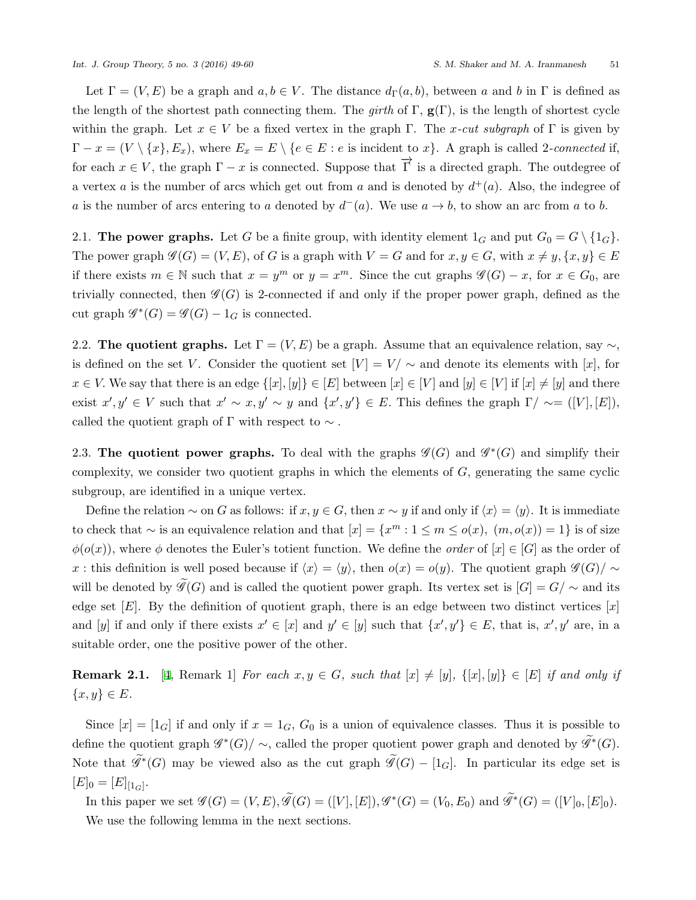Let  $\Gamma = (V, E)$  be a graph and  $a, b \in V$ . The distance  $d_{\Gamma}(a, b)$ , between a and b in  $\Gamma$  is defined as the length of the shortest path connecting them. The *girth* of  $\Gamma$ ,  $\mathbf{g}(\Gamma)$ , is the length of shortest cycle within the graph. Let  $x \in V$  be a fixed vertex in the graph  $\Gamma$ . The *x-cut subgraph* of  $\Gamma$  is given by  $\Gamma - x = (V \setminus \{x\}, E_x)$ , where  $E_x = E \setminus \{e \in E : e \text{ is incident to } x\}$ . A graph is called 2-connected if, for each  $x \in V$ , the graph  $\Gamma - x$  is connected. Suppose that  $\overrightarrow{\Gamma}$  is a directed graph. The outdegree of a vertex *a* is the number of arcs which get out from *a* and is denoted by  $d^+(a)$ . Also, the indegree of *a* is the number of arcs entering to *a* denoted by  $d^-(a)$ . We use  $a \to b$ , to show an arc from *a* to *b*.

2.1. **The power graphs.** Let *G* be a finite group, with identity element  $1_G$  and put  $G_0 = G \setminus \{1_G\}$ . The power graph  $\mathscr{G}(G) = (V, E)$ , of *G* is a graph with  $V = G$  and for  $x, y \in G$ , with  $x \neq y, \{x, y\} \in E$ if there exists  $m \in \mathbb{N}$  such that  $x = y^m$  or  $y = x^m$ . Since the cut graphs  $\mathscr{G}(G) - x$ , for  $x \in G_0$ , are trivially connected, then  $\mathscr{G}(G)$  is 2-connected if and only if the proper power graph, defined as the cut graph  $\mathcal{G}^*(G) = \mathcal{G}(G) - 1_G$  is connected.

2.2. **The quotient graphs.** Let  $\Gamma = (V, E)$  be a graph. Assume that an equivalence relation, say  $\sim$ , is defined on the set *V*. Consider the quotient set  $|V| = V / \sim$  and denote its elements with [x], for  $x \in V$ . We say that there is an edge  $\{[x], [y]\}\in [E]$  between  $[x] \in [V]$  and  $[y] \in [V]$  if  $[x] \neq [y]$  and there exist  $x', y' \in V$  such that  $x' \sim x, y' \sim y$  and  $\{x', y'\} \in E$ . This defines the graph  $\Gamma/\sim = ([V], [E]),$ called the quotient graph of  $\Gamma$  with respect to  $\sim$ .

2.3. **The quotient power graphs.** To deal with the graphs  $\mathscr{G}(G)$  and  $\mathscr{G}^*(G)$  and simplify their complexity, we consider two quotient graphs in which the elements of *G*, generating the same cyclic subgroup, are identified in a unique vertex.

Define the relation  $\sim$  on *G* as follows: if  $x, y \in G$ , then  $x \sim y$  if and only if  $\langle x \rangle = \langle y \rangle$ . It is immediate to check that  $\sim$  is an equivalence relation and that  $[x] = \{x^m : 1 \le m \le o(x), (m, o(x)) = 1\}$  is of size  $\phi(o(x))$ , where  $\phi$  denotes the Euler's totient function. We define the *order* of  $[x] \in [G]$  as the order of *x*: this definition is well posed because if  $\langle x \rangle = \langle y \rangle$ , then  $o(x) = o(y)$ . The quotient graph  $\mathscr{G}(G)/\sim$ will be denoted by  $\widetilde{\mathscr{G}}(G)$  and is called the quotient power graph. Its vertex set is  $[G] = G / \sim$  and its edge set  $[E]$ . By the definition of quotient graph, there is an edge between two distinct vertices  $[x]$ and [y] if and only if there exists  $x' \in [x]$  and  $y' \in [y]$  such that  $\{x', y'\} \in E$ , that is,  $x', y'$  are, in a suitable order, one the positive power of the other.

<span id="page-2-0"></span>**Remark 2.1.** [[4](#page-11-12), Remark 1] *For each*  $x, y \in G$ *, such that*  $[x] \neq [y]$ ,  $\{[x], [y]\} \in [E]$  *if and only if {x, y} ∈ E.*

Since  $[x] = [1_G]$  if and only if  $x = 1_G$ ,  $G_0$  is a union of equivalence classes. Thus it is possible to define the quotient graph  $\mathscr{G}^*(G)/\sim$ , called the proper quotient power graph and denoted by  $\mathscr{G}^*(G)$ . Note that  $\mathscr{G}^*(G)$  may be viewed also as the cut graph  $\mathscr{G}(G) - [1_G]$ . In particular its edge set is  $[E]_0 = [E]_{[1_G]}$ .

In this paper we set  $\mathscr{G}(G) = (V, E), \mathscr{G}(G) = ([V], [E]), \mathscr{G}^*(G) = (V_0, E_0)$  and  $\mathscr{G}^*(G) = ([V]_0, [E]_0)$ . We use the following lemma in the next sections.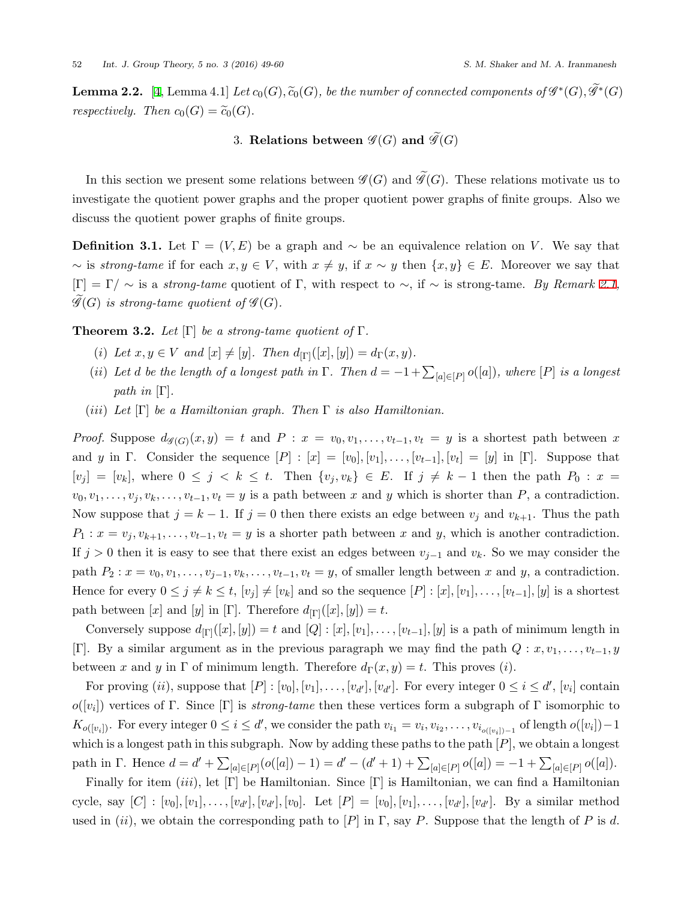<span id="page-3-0"></span>**Lemma 2.2.** [[4](#page-11-12), Lemma 4.1] *Let*  $c_0(G)$ *,*  $\widetilde{c}_0(G)$ *, be the number of connected components of*  $\mathscr{G}^*(G)$ *,*  $\mathscr{G}^*(G)$ *respectively.* Then  $c_0(G) = \widetilde{c}_0(G)$ .

# 3. **Relations between**  $\mathscr{G}(G)$  and  $\mathscr{G}(G)$

In this section we present some relations between  $\mathscr{G}(G)$  and  $\mathscr{G}(G)$ . These relations motivate us to investigate the quotient power graphs and the proper quotient power graphs of finite groups. Also we discuss the quotient power graphs of finite groups.

**Definition 3.1.** Let  $\Gamma = (V, E)$  be a graph and  $\sim$  be an equivalence relation on *V*. We say that  $∼$  is *strong-tame* if for each  $x, y \in V$ , with  $x \neq y$ , if  $x ∼ y$  then  $\{x, y\} ∈ E$ . Moreover we say that  $[\Gamma] = \Gamma / \sim$  is a *strong-tame* quotient of  $\Gamma$ , with respect to  $\sim$ , if  $\sim$  is strong-tame. By Remark [2.1](#page-2-0),  $\mathscr{G}(G)$  *is strong-tame quotient of*  $\mathscr{G}(G)$ *.* 

**Theorem 3.2.** *Let* [Γ] *be a strong-tame quotient of* Γ*.*

- (*i*) Let  $x, y \in V$  and  $[x] \neq [y]$ . Then  $d_{\text{[T]}}([x], [y]) = d_{\text{T}}(x, y)$ .
- (*ii*) Let *d* be the length of a longest path in  $\Gamma$ . Then  $d = -1 + \sum_{[a] \in [P]} o([a])$ , where  $[P]$  is a longest *path in* [Γ]*.*
- (*iii*) *Let* [Γ] *be a Hamiltonian graph. Then* Γ *is also Hamiltonian.*

*Proof.* Suppose  $d_{\mathscr{G}(G)}(x,y) = t$  and  $P: x = v_0, v_1, \ldots, v_{t-1}, v_t = y$  is a shortest path between x and *y* in Γ. Consider the sequence  $[P] : [x] = [v_0], [v_1], \ldots, [v_{t-1}], [v_t] = [y]$  in [Γ]. Suppose that  $[v_j] = [v_k]$ , where  $0 \leq j \leq k \leq t$ . Then  $\{v_j, v_k\} \in E$ . If  $j \neq k-1$  then the path  $P_0: x =$  $v_0, v_1, \ldots, v_j, v_k, \ldots, v_{t-1}, v_t = y$  is a path between *x* and *y* which is shorter than *P*, a contradiction. Now suppose that  $j = k - 1$ . If  $j = 0$  then there exists an edge between  $v_j$  and  $v_{k+1}$ . Thus the path  $P_1: x = v_j, v_{k+1}, \ldots, v_{t-1}, v_t = y$  is a shorter path between *x* and *y*, which is another contradiction. If  $j > 0$  then it is easy to see that there exist an edges between  $v_{j-1}$  and  $v_k$ . So we may consider the path  $P_2: x = v_0, v_1, \ldots, v_{j-1}, v_k, \ldots, v_{t-1}, v_t = y$ , of smaller length between x and y, a contradiction. Hence for every  $0 \le j \ne k \le t$ ,  $[v_j] \ne [v_k]$  and so the sequence  $[P] : [x], [v_1], \ldots, [v_{t-1}], [y]$  is a shortest path between [*x*] and [*y*] in [Γ]. Therefore  $d_{\text{[}(\Gamma)}([x], [y]) = t$ .

Conversely suppose  $d_{[\Gamma]}([x], [y]) = t$  and  $[Q] : [x], [v_1], \ldots, [v_{t-1}], [y]$  is a path of minimum length in [Γ]. By a similar argument as in the previous paragraph we may find the path  $Q: x, v_1, \ldots, v_{t-1}, y$ between *x* and *y* in  $\Gamma$  of minimum length. Therefore  $d_{\Gamma}(x, y) = t$ . This proves (*i*).

For proving  $(ii)$ , suppose that  $[P] : [v_0], [v_1], \ldots, [v_{d'}], [v_{d'}]$ . For every integer  $0 \le i \le d'$ ,  $[v_i]$  contain  $o([v_i])$  vertices of Γ. Since [Γ] is *strong-tame* then these vertices form a subgraph of Γ isomorphic to  $K_{o([v_i])}$ . For every integer  $0 \le i \le d'$ , we consider the path  $v_{i_1} = v_i, v_{i_2}, \ldots, v_{i_{o([v_i])-1}}$  of length  $o([v_i])-1$ which is a longest path in this subgraph. Now by adding these paths to the path [*P*], we obtain a longest path in  $\Gamma$ . Hence  $d = d' + \sum_{[a] \in [P]} (o([a]) - 1) = d' - (d' + 1) + \sum_{[a] \in [P]} o([a]) = -1 + \sum_{[a] \in [P]} o([a]).$ 

Finally for item (*iii*), let [Γ] be Hamiltonian. Since [Γ] is Hamiltonian, we can find a Hamiltonian cycle, say  $[C] : [v_0], [v_1], \ldots, [v_{d'}], [v_{d'}], [v_0]$ . Let  $[P] = [v_0], [v_1], \ldots, [v_{d'}], [v_{d'}]$ . By a similar method used in (*ii*), we obtain the corresponding path to  $[P]$  in  $\Gamma$ , say  $P$ . Suppose that the length of  $P$  is  $d$ .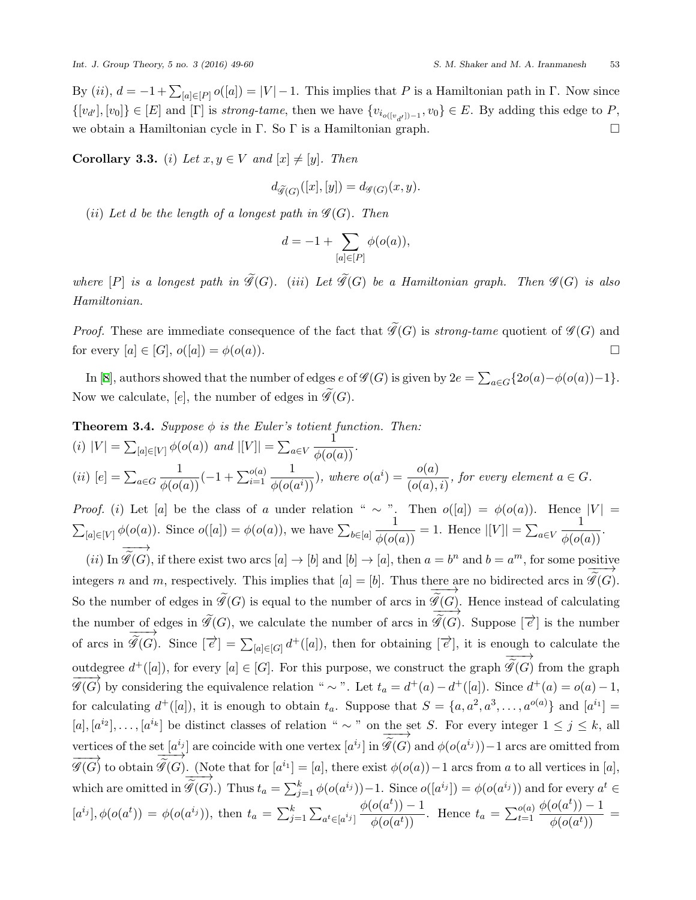By  $(ii)$ ,  $d = -1 + \sum_{[a] \in [P]} o([a]) = |V| - 1$ . This implies that *P* is a Hamiltonian path in Γ. Now since  $\{[v_{d'}], [v_0]\}\in [E]$  and  $[\Gamma]$  is *strong-tame*, then we have  $\{v_{i_{o([v_{d'}])-1}}, v_0\}\in E$ . By adding this edge to P, we obtain a Hamiltonian cycle in Γ. So Γ is a Hamiltonian graph.  $\square$ 

**Corollary 3.3.** (*i*) *Let*  $x, y \in V$  *and*  $[x] \neq [y]$ *. Then* 

$$
d_{\widetilde{\mathscr{G}}(G)}([x],[y]) = d_{\mathscr{G}(G)}(x,y).
$$

(*ii*) Let *d* be the length of a longest path in  $\mathscr{G}(G)$ . Then

$$
d = -1 + \sum_{[a] \in [P]} \phi(o(a)),
$$

*where*  $[P]$  *is a longest path in*  $\widetilde{\mathscr{G}}(G)$ *.* (*iii*) *Let*  $\widetilde{\mathscr{G}}(G)$  *be a Hamiltonian graph. Then*  $\mathscr{G}(G)$  *is also Hamiltonian.*

*Proof.* These are immediate consequence of the fact that  $\widetilde{\mathscr{G}}(G)$  is *strong-tame* quotient of  $\mathscr{G}(G)$  and for every  $[a] \in [G]$ ,  $o([a]) = \phi(o(a))$ .

In[[8](#page-11-8)], authors showed that the number of edges  $e$  of  $\mathscr{G}(G)$  is given by  $2e = \sum_{a \in G} \{2o(a) - \phi(o(a)) - 1\}.$ Now we calculate,  $[e]$ , the number of edges in  $\widetilde{\mathscr{G}}(G)$ .

<span id="page-4-0"></span>**Theorem 3.4.** Suppose 
$$
\phi
$$
 is the Euler's totient function. Then:  
\n(i)  $|V| = \sum_{[a] \in [V]} \phi(o(a))$  and  $|[V]| = \sum_{a \in V} \frac{1}{\phi(o(a))}$ .  
\n(ii)  $[e] = \sum_{a \in G} \frac{1}{\phi(o(a))}(-1 + \sum_{i=1}^{o(a)} \frac{1}{\phi(o(a^i))})$ , where  $o(a^i) = \frac{o(a)}{(o(a), i)}$ , for every element  $a \in G$ .

*Proof.* (*i*) Let [*a*] be the class of *a* under relation "  $\sim$  ". Then  $o([a]) = \phi(o(a))$ . Hence  $|V| =$  $\sum_{[a]\in[V]} \phi(o(a))$ . Since  $o([a]) = \phi(o(a))$ , we have  $\sum_{b\in[a]}$  $\frac{1}{\phi(o(a))} = 1$ . Hence  $|V| = \sum_{a \in V}$  $\frac{1}{\phi(o(a))}$ . *−−−→*

(*ii*) In  $\widetilde{\mathscr{G}}(G)$ , if there exist two arcs  $[a] \to [b]$  and  $[b] \to [a]$ , then  $a = b^n$  and  $b = a^m$ , for some positive integers *n* and *m*, respectively. This implies that  $[a] = [b]$ . Thus there are no bidirected arcs in *−−−→*  $\frac{\text{here are no bidirected arcs in } \mathcal{G}(G)}{\sim}$ So the number of edges in  $\mathscr{G}(G)$  is equal to the number of arcs in  $\mathscr{G}(G)$ . Hence instead of calculating the number of edges in  $\mathscr{G}(G)$ , we calculate the number of arcs in  $\overline{\widetilde{\mathscr{G}}(G)}$ . Suppose  $[\overrightarrow{e}]$  is the number of arcs in  $\overline{\mathscr{G}}(G)$ . Since  $[\overline{e}] = \sum_{[a] \in [G]} d^+([a])$ , then for obtaining  $[\overline{e}]$ , it is enough to calculate the outdegree  $d^+([a])$ , for every  $[a] \in [G]$ . For this purpose, we construct the graph *−−−→*  $\mathscr{G}(G)$  from the graph  $\overline{\mathscr{G}(G)}$  by considering the equivalence relation "  $\sim$  ". Let  $t_a = d^+(a) - d^+(a)$ . Since  $d^+(a) = o(a) - 1$ , for calculating  $d^+([a])$ , it is enough to obtain  $t_a$ . Suppose that  $S = \{a, a^2, a^3, \ldots, a^{o(a)}\}$  and  $[a^{i_1}] =$  $[a], [a^i], \ldots, [a^{i_k}]$  be distinct classes of relation "  $\sim$  " on the set *S*. For every integer  $1 \leq j \leq k$ , all vertices of the set  $[a^{i_j}]$  are coincide with one vertex  $[a^{i_j}]$  in *−−−→*  $\frac{f(a^{i_j})}{\sim}$  are coincide with one vertex  $[a^{i_j}]$  in  $\mathscr{G}(G)$  and  $\phi(o(a^{i_j}))$  – 1 arcs are omitted from  $\overrightarrow{\mathscr{G}(G)}$  to obtain  $\overrightarrow{\mathscr{G}}(G)$ . (Note that for  $[a^{i_1}] = [a]$ , there exist  $\phi(o(a)) - 1$  arcs from *a* to all vertices in [*a*], which are omitted in *−−−→*  $\widetilde{\mathscr{G}}(G)$ .) Thus  $t_a = \sum_{j=1}^k \phi(o(a^{i_j})) - 1$ . Since  $o([a^{i_j}]) = \phi(o(a^{i_j}))$  and for every  $a^t \in$  $[a^{i_j}], \phi(o(a^t)) = \phi(o(a^{i_j})),$  then  $t_a = \sum_{j=1}^k \sum_{a^t \in [a^{i_j}]}$  $\phi(o(a^t)) - 1$  $\frac{\partial(a^i)}{\partial(a^i)} = 1$ . Hence  $t_a = \sum_{t=1}^{o(a)}$  $\phi(o(a^t)) - 1$  $\frac{\phi(a^j)}{\phi(o(a^t))} =$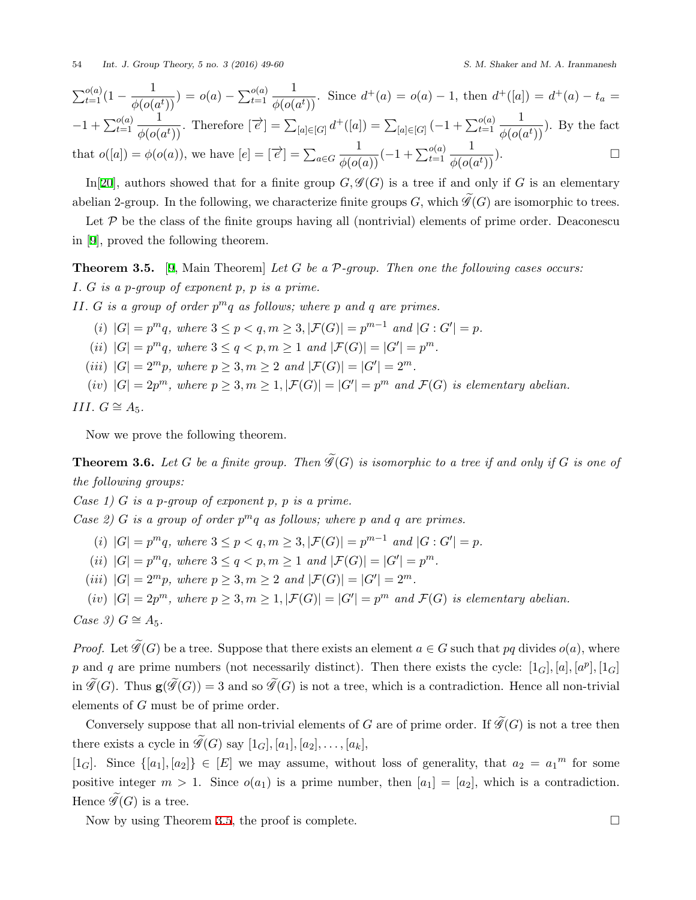$$
\sum_{t=1}^{o(a)} (1 - \frac{1}{\phi(o(a^t))}) = o(a) - \sum_{t=1}^{o(a)} \frac{1}{\phi(o(a^t))}. \text{ Since } d^+(a) = o(a) - 1, \text{ then } d^+(a) = d^+(a) - t_a = -1 + \sum_{t=1}^{o(a)} \frac{1}{\phi(o(a^t))}. \text{ Therefore } [\overrightarrow{e}] = \sum_{[a] \in [G]} d^+(a) = \sum_{[a] \in [G]} (-1 + \sum_{t=1}^{o(a)} \frac{1}{\phi(o(a^t))}). \text{ By the fact that } o([a]) = \phi(o(a)), \text{ we have } [e] = [\overrightarrow{e}] = \sum_{a \in G} \frac{1}{\phi(o(a))} (-1 + \sum_{t=1}^{o(a)} \frac{1}{\phi(o(a^t))}). \square
$$

In<sup>[\[20](#page-11-16)]</sup>, authors showed that for a finite group  $G, \mathcal{G}(G)$  is a tree if and only if *G* is an elementary abelian 2-group. In the following, we characterize finite groups *G*, which  $\widetilde{\mathscr{G}}(G)$  are isomorphic to trees.

Let  $P$  be the class of the finite groups having all (nontrivial) elements of prime order. Deaconescu in [\[9\]](#page-11-17), proved the following theorem.

<span id="page-5-0"></span>**Theorem 3.5.** [\[9,](#page-11-17) Main Theorem] *Let G be a P-group. Then one the following cases occurs: I. G is a p-group of exponent p, p is a prime.*

*II. G is a group of order p <sup>m</sup>q as follows; where p and q are primes.*

- (i)  $|G| = p^m q$ , where  $3 \le p < q, m \ge 3, |\mathcal{F}(G)| = p^{m-1}$  and  $|G : G'| = p$ .
- (*ii*)  $|G| = p^m q$ *, where*  $3 \le q < p, m \ge 1$  *and*  $|\mathcal{F}(G)| = |G'| = p^m$ *.*
- (*iii*)  $|G| = 2^m p$ *, where*  $p \geq 3, m \geq 2$  *and*  $|\mathcal{F}(G)| = |G'| = 2^m$ *.*
- (iv)  $|G| = 2p^m$ , where  $p \geq 3, m \geq 1, |\mathcal{F}(G)| = |G'| = p^m$  and  $\mathcal{F}(G)$  is elementary abelian.

$$
III. G \cong A_5.
$$

Now we prove the following theorem.

<span id="page-5-1"></span>**Theorem 3.6.** Let G be a finite group. Then  $\widetilde{\mathcal{G}}(G)$  is isomorphic to a tree if and only if G is one of *the following groups:*

*Case 1) G is a p-group of exponent p, p is a prime.*

*Case 2) G is a group of order*  $p^m q$  *as follows; where p and q are primes.* 

- (i)  $|G| = p^m q$ , where  $3 \le p < q, m \ge 3, |\mathcal{F}(G)| = p^{m-1}$  and  $|G : G'| = p$ .
- (*ii*)  $|G| = p^m q$ *, where*  $3 \le q < p, m \ge 1$  *and*  $|\mathcal{F}(G)| = |G'| = p^m$ *.*
- (*iii*)  $|G| = 2^m p$ *, where*  $p \geq 3, m \geq 2$  *and*  $|\mathcal{F}(G)| = |G'| = 2^m$ *.*
- (iv)  $|G| = 2p^m$ , where  $p \geq 3, m \geq 1, |\mathcal{F}(G)| = |G'| = p^m$  and  $\mathcal{F}(G)$  is elementary abelian.

 $Case 3) G \cong A_5.$ 

*Proof.* Let  $\widetilde{\mathscr{G}}(G)$  be a tree. Suppose that there exists an element  $a \in G$  such that pq divides  $o(a)$ , where *p* and *q* are prime numbers (not necessarily distinct). Then there exists the cycle:  $[1_G]$ ,  $[a]$ ,  $[a^p]$ ,  $[1_G]$ in  $\widetilde{\mathscr{G}}(G)$ . Thus  $\mathbf{g}(\widetilde{\mathscr{G}}(G)) = 3$  and so  $\widetilde{\mathscr{G}}(G)$  is not a tree, which is a contradiction. Hence all non-trivial elements of *G* must be of prime order.

Conversely suppose that all non-trivial elements of *G* are of prime order. If  $\widetilde{\mathscr{G}}(G)$  is not a tree then there exists a cycle in  $\widetilde{\mathcal{G}}(G)$  say  $[1_G], [a_1], [a_2], \ldots, [a_k],$ 

 $[1_G]$ . Since  $\{[a_1], [a_2]\} \in [E]$  we may assume, without loss of generality, that  $a_2 = a_1^m$  for some positive integer  $m > 1$ . Since  $o(a_1)$  is a prime number, then  $[a_1] = [a_2]$ , which is a contradiction. Hence  $\widetilde{\mathscr{G}}(G)$  is a tree.

Now by using Theorem [3.5](#page-5-0), the proof is complete.  $\Box$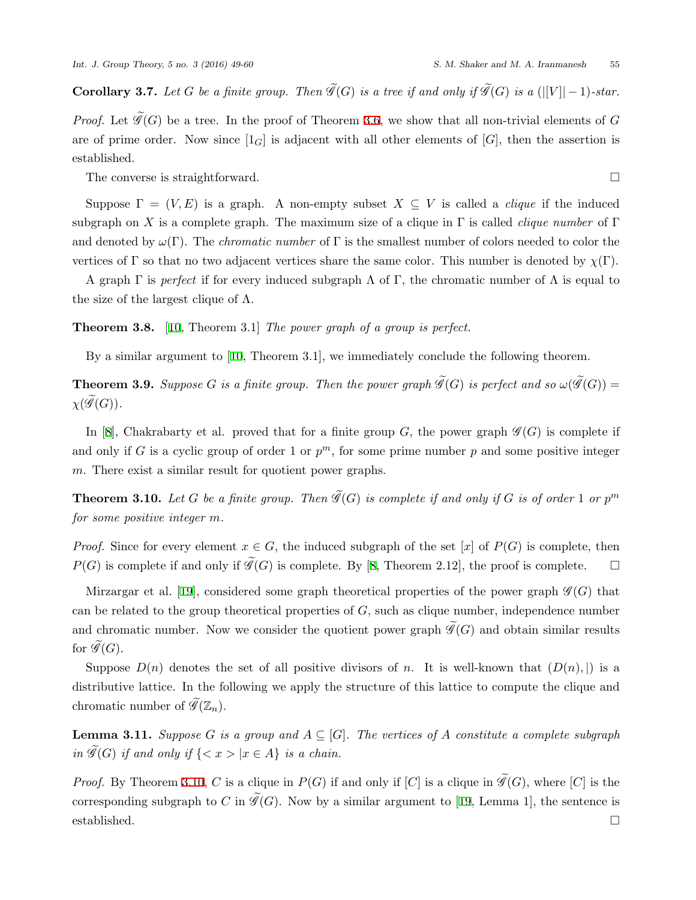**Corollary 3.7.** Let *G* be a finite group. Then  $\widetilde{\mathscr{G}}(G)$  is a tree if and only if  $\widetilde{\mathscr{G}}(G)$  is a (|[V|| − 1)*-star.* 

*Proof.* Let  $\widetilde{\mathscr{G}}(G)$  be a tree. In the proof of Theorem [3.6](#page-5-1), we show that all non-trivial elements of *G* are of prime order. Now since  $[1_G]$  is adjacent with all other elements of  $[G]$ , then the assertion is established.

The converse is straightforward. □

Suppose  $\Gamma = (V, E)$  is a graph. A non-empty subset  $X \subseteq V$  is called a *clique* if the induced subgraph on *X* is a complete graph. The maximum size of a clique in  $\Gamma$  is called *clique number* of  $\Gamma$ and denoted by *ω*(Γ). The *chromatic number* of Γ is the smallest number of colors needed to color the vertices of Γ so that no two adjacent vertices share the same color. This number is denoted by  $\chi(\Gamma)$ .

A graph  $\Gamma$  is *perfect* if for every induced subgraph  $\Lambda$  of  $\Gamma$ , the chromatic number of  $\Lambda$  is equal to the size of the largest clique of  $\Lambda$ .

**Theorem 3.8.** [\[10](#page-11-18), Theorem 3.1] *The power graph of a group is perfect.*

By a similar argument to[[10,](#page-11-18) Theorem 3.1], we immediately conclude the following theorem.

**Theorem 3.9.** *Suppose G is a finite group. Then the power graph*  $\widetilde{\mathscr{G}}(G)$  *is perfect and so*  $\omega(\widetilde{\mathscr{G}}(G))$  =  $\chi(\widetilde{\mathscr{G}}(G))$ .

In[[8](#page-11-8)], Chakrabarty et al. proved that for a finite group  $G$ , the power graph  $\mathscr{G}(G)$  is complete if and only if *G* is a cyclic group of order 1 or  $p^m$ , for some prime number  $p$  and some positive integer *m*. There exist a similar result for quotient power graphs.

<span id="page-6-0"></span>**Theorem 3.10.** Let G be a finite group. Then  $\widetilde{\mathscr{G}}(G)$  is complete if and only if G is of order 1 or  $p^m$ *for some positive integer m.*

*Proof.* Since for every element  $x \in G$ , the induced subgraph of the set [*x*] of  $P(G)$  is complete, then *P*(*G*)is complete if and only if  $\widetilde{\mathscr{G}}(G)$  is complete. By [[8](#page-11-8), Theorem 2.12], the proof is complete. □

Mirzargaret al. [[19\]](#page-11-11), considered some graph theoretical properties of the power graph  $\mathscr{G}(G)$  that can be related to the group theoretical properties of *G*, such as clique number, independence number and chromatic number. Now we consider the quotient power graph  $\widetilde{\mathscr{G}}(G)$  and obtain similar results for  $\mathscr{G}(G)$ .

Suppose  $D(n)$  denotes the set of all positive divisors of *n*. It is well-known that  $(D(n),)$  is a distributive lattice. In the following we apply the structure of this lattice to compute the clique and chromatic number of  $\widetilde{\mathscr{G}}(\mathbb{Z}_n)$ .

**Lemma 3.11.** *Suppose G is a group and*  $A \subseteq [G]$ *. The vertices of A constitute a complete subgraph in*  $\widetilde{\mathscr{G}}(G)$  *if and only if*  $\{< x > |x \in A\}$  *is a chain.* 

*Proof.* By Theorem [3.10,](#page-6-0) *C* is a clique in  $P(G)$  if and only if  $[C]$  is a clique in  $\widetilde{\mathscr{G}}(G)$ , where  $[C]$  is the correspondingsubgraph to *C* in  $\widetilde{\mathscr{G}}(G)$ . Now by a similar argument to [[19,](#page-11-11) Lemma 1], the sentence is established.  $\square$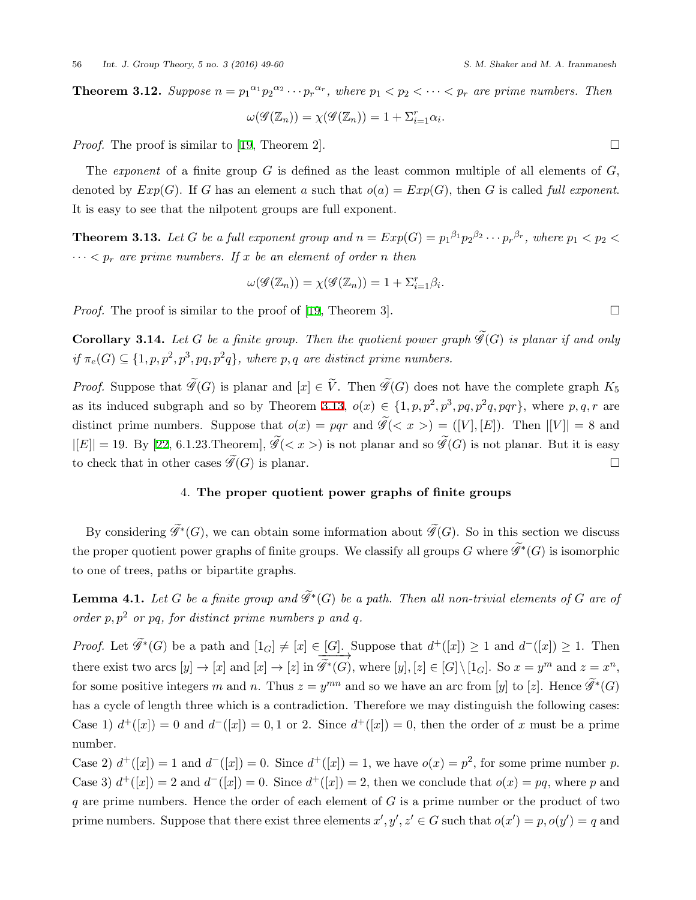**Theorem 3.12.** Suppose  $n = p_1^{\alpha_1} p_2^{\alpha_2} \cdots p_r^{\alpha_r}$ , where  $p_1 < p_2 < \cdots < p_r$  are prime numbers. Then

$$
\omega(\mathcal{G}(\mathbb{Z}_n)) = \chi(\mathcal{G}(\mathbb{Z}_n)) = 1 + \Sigma_{i=1}^r \alpha_i.
$$

*Proof.* The proof is similar to [\[19](#page-11-11), Theorem 2].  $\Box$ 

The *exponent* of a finite group *G* is defined as the least common multiple of all elements of *G*, denoted by  $Exp(G)$ . If *G* has an element *a* such that  $o(a) = Exp(G)$ , then *G* is called *full exponent*. It is easy to see that the nilpotent groups are full exponent.

<span id="page-7-0"></span>**Theorem 3.13.** Let G be a full exponent group and  $n = Exp(G) = p_1^{\beta_1}p_2^{\beta_2} \cdots p_r^{\beta_r}$ , where  $p_1 < p_2 <$  $\cdots$   $\lt p_r$  *are prime numbers. If x be an element of order n then* 

$$
\omega(\mathcal{G}(\mathbb{Z}_n)) = \chi(\mathcal{G}(\mathbb{Z}_n)) = 1 + \Sigma_{i=1}^r \beta_i.
$$

*Proof.*The proof is similar to the proof of [[19,](#page-11-11) Theorem 3].  $\Box$ 

**Corollary 3.14.** Let *G* be a finite group. Then the quotient power graph  $\widetilde{\mathscr{G}}(G)$  is planar if and only  $if \pi_e(G) \subseteq \{1, p, p^2, p^3, pq, p^2q\}$ , where p, q are distinct prime numbers.

*Proof.* Suppose that  $\widetilde{\mathscr{G}}(G)$  is planar and  $[x] \in \widetilde{V}$ . Then  $\widetilde{\mathscr{G}}(G)$  does not have the complete graph  $K_5$ as its induced subgraph and so by Theorem [3.13,](#page-7-0)  $o(x) \in \{1, p, p^2, p^3, pq, p^2q, pqr\}$ , where  $p, q, r$  are distinct prime numbers. Suppose that  $o(x) = pqr$  and  $\widetilde{\mathscr{G}}(\langle x \rangle) = (V, [E])$ . Then  $|[V]| = 8$  and  $|E| = 19$ . By [\[22](#page-11-15), 6.1.23.Theorem],  $\widetilde{\mathscr{G}}(< x >)$  is not planar and so  $\widetilde{\mathscr{G}}(G)$  is not planar. But it is easy to check that in other cases  $\widetilde{\mathscr{G}}(G)$  is planar.  $\Box$ 

## 4. **The proper quotient power graphs of finite groups**

By considering  $\mathscr{G}^*(G)$ , we can obtain some information about  $\mathscr{G}(G)$ . So in this section we discuss the proper quotient power graphs of finite groups. We classify all groups *G* where  $\mathscr{G}^*(G)$  is isomorphic to one of trees, paths or bipartite graphs.

<span id="page-7-1"></span>**Lemma 4.1.** Let  $G$  be a finite group and  $\mathscr{G}*(G)$  be a path. Then all non-trivial elements of  $G$  are of *order*  $p, p^2$  *or*  $pq$ *, for distinct prime numbers*  $p$  *and*  $q$ *.* 

*Proof.* Let  $\widetilde{\mathscr{G}}^*(G)$  be a path and  $[1_G] \neq [x] \in [G]$ . Suppose that  $d^+([x]) \geq 1$  and  $d^-(x]) \geq 1$ . Then there exist two arcs  $[y] \to [x]$  and  $[x] \to [z]$  in  $\widetilde{\mathscr{G}}^*(G)$ , where  $[y], [z] \in [G] \setminus [1_G]$ . So  $x = y^m$  and  $z = x^n$ , for some positive integers *m* and *n*. Thus  $z = y^{mn}$  and so we have an arc from [*y*] to [*z*]. Hence  $\widetilde{\mathscr{G}}^*(G)$ has a cycle of length three which is a contradiction. Therefore we may distinguish the following cases: Case 1)  $d^+(x) = 0$  and  $d^-(x) = 0, 1$  or 2. Since  $d^+(x) = 0$ , then the order of x must be a prime number.

Case 2)  $d^+(x) = 1$  and  $d^-(x) = 0$ . Since  $d^+(x) = 1$ , we have  $o(x) = p^2$ , for some prime number *p*. Case 3)  $d^+(x) = 2$  and  $d^-(x) = 0$ . Since  $d^+(x) = 2$ , then we conclude that  $o(x) = pq$ , where p and *q* are prime numbers. Hence the order of each element of *G* is a prime number or the product of two prime numbers. Suppose that there exist three elements  $x', y', z' \in G$  such that  $o(x') = p$ ,  $o(y') = q$  and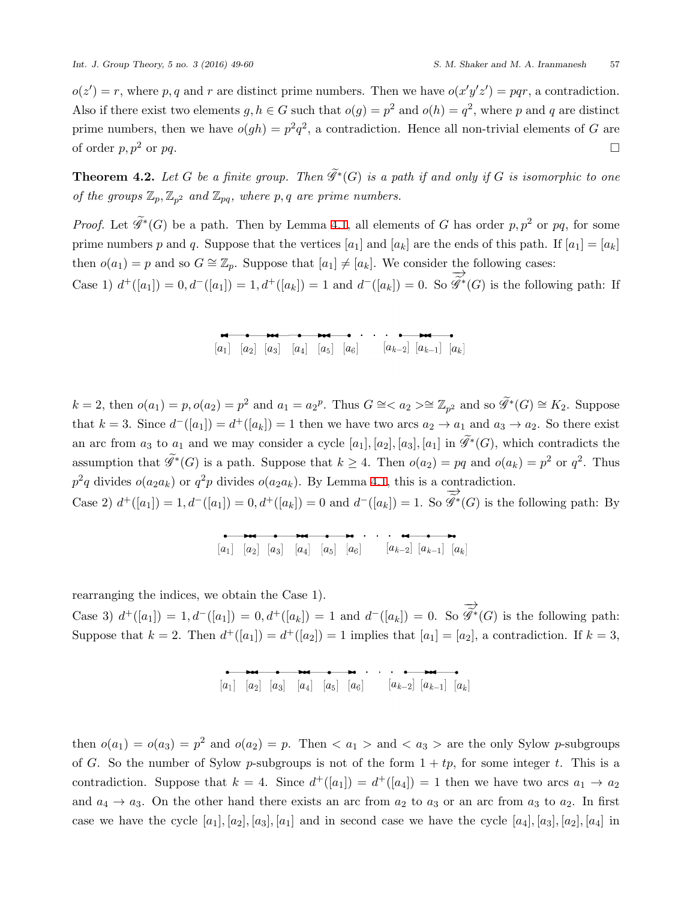$o(z') = r$ , where p, q and r are distinct prime numbers. Then we have  $o(x'y'z') = pqr$ , a contradiction. Also if there exist two elements  $g, h \in G$  such that  $o(g) = p^2$  and  $o(h) = q^2$ , where p and q are distinct prime numbers, then we have  $o(gh) = p^2q^2$ , a contradiction. Hence all non-trivial elements of *G* are of order  $p, p^2$  or  $pq$ .

**Theorem 4.2.** Let  $G$  be a finite group. Then  $\mathscr{G}^*(G)$  is a path if and only if  $G$  is isomorphic to one *of the groups*  $\mathbb{Z}_p$ ,  $\mathbb{Z}_{p^2}$  *and*  $\mathbb{Z}_{pq}$ *, where*  $p, q$  *are prime numbers.* 

*Proof.* Let  $\widetilde{\mathscr{G}}^*(G)$  be a path. Then by Lemma [4.1,](#page-7-1) all elements of *G* has order  $p, p^2$  or  $pq$ , for some prime numbers *p* and *q*. Suppose that the vertices  $[a_1]$  and  $[a_k]$  are the ends of this path. If  $[a_1] = [a_k]$ then  $o(a_1) = p$  and so  $G \cong \mathbb{Z}_p$ . Suppose that  $[a_1] \neq [a_k]$ . We consider the following cases:

Case 1)  $d^+([a_1]) = 0, d^-([a_1]) = 1, d^+([a_k]) = 1$  and  $d^-([a_k]) = 0$ . So *−→ G*e*∗* (*G*) is the following path: If

 $k = 2$ , then  $o(a_1) = p$ ,  $o(a_2) = p^2$  and  $a_1 = a_2^p$ . Thus  $G \cong \langle a_2 \rangle \cong \mathbb{Z}_{p^2}$  and so  $\widetilde{\mathscr{G}}^*(G) \cong K_2$ . Suppose that  $k = 3$ . Since  $d^{-}([a_1]) = d^{+}([a_k]) = 1$  then we have two arcs  $a_2 \to a_1$  and  $a_3 \to a_2$ . So there exist an arc from  $a_3$  to  $a_1$  and we may consider a cycle  $[a_1]$ ,  $[a_2]$ ,  $[a_3]$ ,  $[a_1]$  in  $\mathscr{G}^*(G)$ , which contradicts the assumption that  $\widetilde{\mathscr{G}}^*(G)$  is a path. Suppose that  $k \geq 4$ . Then  $o(a_2) = pq$  and  $o(a_k) = p^2$  or  $q^2$ . Thus  $p^2q$  divides  $o(a_2a_k)$  or  $q^2p$  divides  $o(a_2a_k)$ . By Lemma [4.1](#page-7-1), this is a contradiction. *−→*

Case 2)  $d^+([a_1]) = 1, d^-([a_1]) = 0, d^+([a_k]) = 0$  and  $d^-([a_k]) = 1$ . So *G*e*∗* (*G*) is the following path: By

rearranging the indices, we obtain the Case 1).

Case 3)  $d^+([a_1]) = 1, d^-([a_1]) = 0, d^+([a_k]) = 1$  and  $d^-([a_k]) = 0$ . So *−→*  $\mathscr{G}^*(G)$  is the following path: Suppose that  $k = 2$ . Then  $d^+([a_1]) = d^+([a_2]) = 1$  implies that  $[a_1] = [a_2]$ , a contradiction. If  $k = 3$ ,

then  $o(a_1) = o(a_3) = p^2$  and  $o(a_2) = p$ . Then  $\langle a_1 \rangle$  and  $\langle a_3 \rangle$  are the only Sylow *p*-subgroups of *G*. So the number of Sylow *p*-subgroups is not of the form  $1 + tp$ , for some integer *t*. This is a contradiction. Suppose that  $k = 4$ . Since  $d^+([a_1]) = d^+([a_4]) = 1$  then we have two arcs  $a_1 \to a_2$ and  $a_4 \rightarrow a_3$ . On the other hand there exists an arc from  $a_2$  to  $a_3$  or an arc from  $a_3$  to  $a_2$ . In first case we have the cycle  $[a_1]$ *,*  $[a_2]$ *,*  $[a_3]$ *,*  $[a_1]$  and in second case we have the cycle  $[a_4]$ *,*  $[a_3]$ *,*  $[a_2]$ *,*  $[a_4]$  in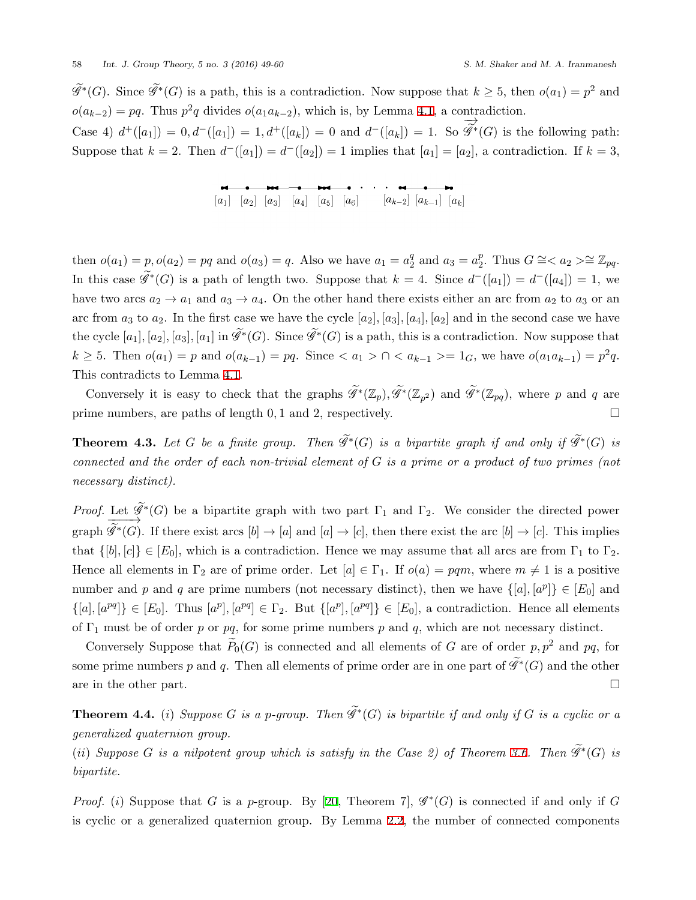$\widetilde{\mathscr{G}}^*(G)$ . Since  $\widetilde{\mathscr{G}}^*(G)$  is a path, this is a contradiction. Now suppose that  $k \geq 5$ , then  $o(a_1) = p^2$  and  $o(a_{k-2}) = pq$ . Thus  $p^2q$  divides  $o(a_1a_{k-2})$ , which is, by Lemma [4.1,](#page-7-1) a contradiction. *−→*

Case 4)  $d^+([a_1]) = 0, d^-([a_1]) = 1, d^+([a_k]) = 0$  and  $d^-([a_k]) = 1$ . So *G*e*∗* (*G*) is the following path: Suppose that  $k = 2$ . Then  $d^{-}([a_1]) = d^{-}([a_2]) = 1$  implies that  $[a_1] = [a_2]$ , a contradiction. If  $k = 3$ ,

then  $o(a_1) = p, o(a_2) = pq$  and  $o(a_3) = q$ . Also we have  $a_1 = a_2^q$  $a_2^q$  and  $a_3 = a_2^p$ 2. Thus *G*  $\cong$  < *a*<sub>2</sub> > $\cong$   $\mathbb{Z}_{pq}$ . In this case  $\mathscr{G}^*(G)$  is a path of length two. Suppose that  $k = 4$ . Since  $d^-([a_1]) = d^-([a_4]) = 1$ , we have two arcs  $a_2 \rightarrow a_1$  and  $a_3 \rightarrow a_4$ . On the other hand there exists either an arc from  $a_2$  to  $a_3$  or an arc from  $a_3$  to  $a_2$ . In the first case we have the cycle  $[a_2]$ ,  $[a_3]$ ,  $[a_4]$ ,  $[a_2]$  and in the second case we have the cycle  $[a_1]$ ,  $[a_2]$ ,  $[a_3]$ ,  $[a_1]$  in  $\mathscr{G}^*(G)$ . Since  $\mathscr{G}^*(G)$  is a path, this is a contradiction. Now suppose that  $k \ge 5$ . Then  $o(a_1) = p$  and  $o(a_{k-1}) = pq$ . Since  $\langle a_1 \rangle \cap \langle a_{k-1} \rangle = 1_G$ , we have  $o(a_1 a_{k-1}) = p^2 q$ . This contradicts to Lemma [4.1.](#page-7-1)

Conversely it is easy to check that the graphs  $\mathscr{G}^*(\mathbb{Z}_p)$ ,  $\mathscr{G}^*(\mathbb{Z}_{p^2})$  and  $\mathscr{G}^*(\mathbb{Z}_{pq})$ , where *p* and *q* are prime numbers, are paths of length  $0, 1$  and  $2$ , respectively.  $\Box$ 

<span id="page-9-0"></span>**Theorem 4.3.** Let G be a finite group. Then  $\mathscr{G}^*(G)$  is a bipartite graph if and only if  $\mathscr{G}^*(G)$  is *connected and the order of each non-trivial element of G is a prime or a product of two primes (not necessary distinct).*

*Proof.* Let  $\mathscr{G}^*(G)$  be a bipartite graph with two part  $\Gamma_1$  and  $\Gamma_2$ . We consider the directed power graph  $\mathscr{G}^*(G)$ . If there exist arcs  $[b] \to [a]$  and  $[a] \to [c]$ , then there exist the arc  $[b] \to [c]$ . This implies that  $\{[b], [c]\} \in [E_0]$ , which is a contradiction. Hence we may assume that all arcs are from  $\Gamma_1$  to  $\Gamma_2$ . Hence all elements in  $\Gamma_2$  are of prime order. Let  $[a] \in \Gamma_1$ . If  $o(a) = pqm$ , where  $m \neq 1$  is a positive number and *p* and *q* are prime numbers (not necessary distinct), then we have  $\{[a], [a^p]\} \in [E_0]$  and  $\{[a], [a^{pq}]\}\in [E_0]$ . Thus  $[a^p], [a^{pq}]\in \Gamma_2$ . But  $\{[a^p], [a^{pq}]\}\in [E_0]$ , a contradiction. Hence all elements of  $\Gamma_1$  must be of order *p* or *pq*, for some prime numbers *p* and *q*, which are not necessary distinct.

Conversely Suppose that  $\widetilde{P}_0(G)$  is connected and all elements of *G* are of order *p*,  $p^2$  and *pq*, for some prime numbers  $p$  and  $q$ . Then all elements of prime order are in one part of  $\mathscr{G}^*(G)$  and the other are in the other part.  $\Box$ 

**Theorem 4.4.** (*i*) Suppose *G* is a p-group. Then  $\mathscr{G}*(G)$  is bipartite if and only if *G* is a cyclic or a *generalized quaternion group.*

 $(i)$  *Suppose G is a nilpotent group which is satisfy in the Case 2) of Theorem [3.6.](#page-5-1) Then*  $\mathscr{G}^*(G)$  *is bipartite.*

*Proof.* (*i*) Suppose that *G* is a *p*-group. By [\[20](#page-11-16), Theorem 7],  $\mathscr{G}^*(G)$  is connected if and only if *G* is cyclic or a generalized quaternion group. By Lemma [2.2,](#page-3-0) the number of connected components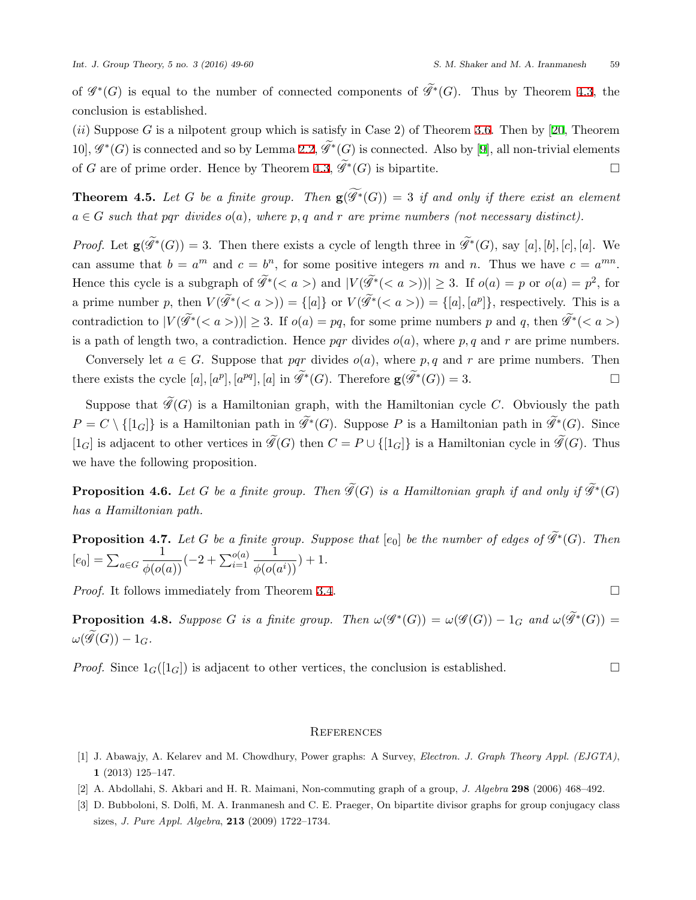of  $\mathscr{G}^*(G)$  is equal to the number of connected components of  $\mathscr{G}^*(G)$ . Thus by Theorem [4.3,](#page-9-0) the conclusion is established.

(*ii*) Suppose *G* is a nilpotent group which is satisfy in Case 2) of Theorem [3.6.](#page-5-1) Then by[[20,](#page-11-16) Theorem 10], *G ∗* (*G*) is connected and so by Lemma [2.2,](#page-3-0) *G*e*<sup>∗</sup>* (*G*) is connected. Also by[[9\]](#page-11-17), all non-trivial elements of *G* are of prime order. Hence by Theorem [4.3](#page-9-0),  $\mathcal{G}^*(G)$  is bipartite.  $\Box$ 

**Theorem 4.5.** Let *G* be a finite group. Then  $g(\widetilde{\mathscr{G}}^*(G)) = 3$  if and only if there exist an element  $a \in G$  *such that pqr divides*  $o(a)$ *, where*  $p, q$  *and*  $r$  *are prime numbers (not necessary distinct).* 

*Proof.* Let  $\mathbf{g}(\mathcal{G}^*(G)) = 3$ . Then there exists a cycle of length three in  $\mathcal{G}^*(G)$ , say [a], [b], [c], [a]. We can assume that  $b = a^m$  and  $c = b^n$ , for some positive integers *m* and *n*. Thus we have  $c = a^{mn}$ . Hence this cycle is a subgraph of  $\widetilde{\mathscr{G}}^*(\langle a \rangle)$  and  $|V(\widetilde{\mathscr{G}}^*(\langle a \rangle))| \geq 3$ . If  $o(a) = p$  or  $o(a) = p^2$ , for a prime number p, then  $V(\mathscr{G}^*(\langle a \rangle)) = \{[a]\}\$  or  $V(\mathscr{G}^*(\langle a \rangle)) = \{[a], [a^p]\}\$ , respectively. This is a contradiction to  $|V(\mathscr{G}^*(\)\)| \geq 3$ . If  $o(a) = pq$ , for some prime numbers p and q, then  $\mathscr{G}^*(\)$ is a path of length two, a contradiction. Hence *pqr* divides  $o(a)$ , where *p*, *q* and *r* are prime numbers.

Conversely let  $a \in G$ . Suppose that *pqr* divides  $o(a)$ , where p, q and r are prime numbers. Then there exists the cycle  $[a]$ ,  $[a^p]$ ,  $[a^q]$ ,  $[a]$  in  $\widetilde{\mathscr{G}}^*(G)$ . Therefore  $\mathbf{g}(\widetilde{\mathscr{G}}^*(G)) = 3$ . □

Suppose that  $\widetilde{\mathcal{G}}(G)$  is a Hamiltonian graph, with the Hamiltonian cycle *C*. Obviously the path  $P = C \setminus \{ [1_G] \}$  is a Hamiltonian path in  $\mathscr{G}^*(G)$ . Suppose *P* is a Hamiltonian path in  $\mathscr{G}^*(G)$ . Since  $[1_G]$  is adjacent to other vertices in  $\widetilde{\mathscr{G}}(G)$  then  $C = P \cup \{[1_G]\}$  is a Hamiltonian cycle in  $\widetilde{\mathscr{G}}(G)$ . Thus we have the following proposition.

**Proposition 4.6.** Let G be a finite group. Then  $\mathscr{G}(G)$  is a Hamiltonian graph if and only if  $\mathscr{G}^*(G)$ *has a Hamiltonian path.*

**Proposition 4.7.** Let G be a finite group. Suppose that  $[e_0]$  be the number of edges of  $\mathscr{G}^*(G)$ . Then  $[e_0] = \sum_{a \in G}$  $\frac{1}{\phi(o(a))}(-2+\sum_{i=1}^{o(a)}$ 1  $\frac{1}{\phi(o(a^i))}$ ) + 1*.* 

*Proof.* It follows immediately from Theorem [3.4.](#page-4-0) □

**Proposition 4.8.** Suppose G is a finite group. Then  $\omega(\mathscr{G}^*(G)) = \omega(\mathscr{G}(G)) - 1_G$  and  $\omega(\mathscr{G}^*(G)) =$  $\omega(\widetilde{\mathscr{G}}(G)) - 1_G$ .

*Proof.* Since  $1_G([1_G])$  is adjacent to other vertices, the conclusion is established. □

#### **REFERENCES**

- <span id="page-10-2"></span>[1] J. Abawajy, A. Kelarev and M. Chowdhury, Power graphs: A Survey, *Electron. J. Graph Theory Appl. (EJGTA)*, **1** (2013) 125–147.
- <span id="page-10-0"></span>[2] A. Abdollahi, S. Akbari and H. R. Maimani, Non-commuting graph of a group, *J. Algebra* **298** (2006) 468–492.
- <span id="page-10-1"></span>[3] D. Bubboloni, S. Dolfi, M. A. Iranmanesh and C. E. Praeger, On bipartite divisor graphs for group conjugacy class sizes, *J. Pure Appl. Algebra*, **213** (2009) 1722–1734.